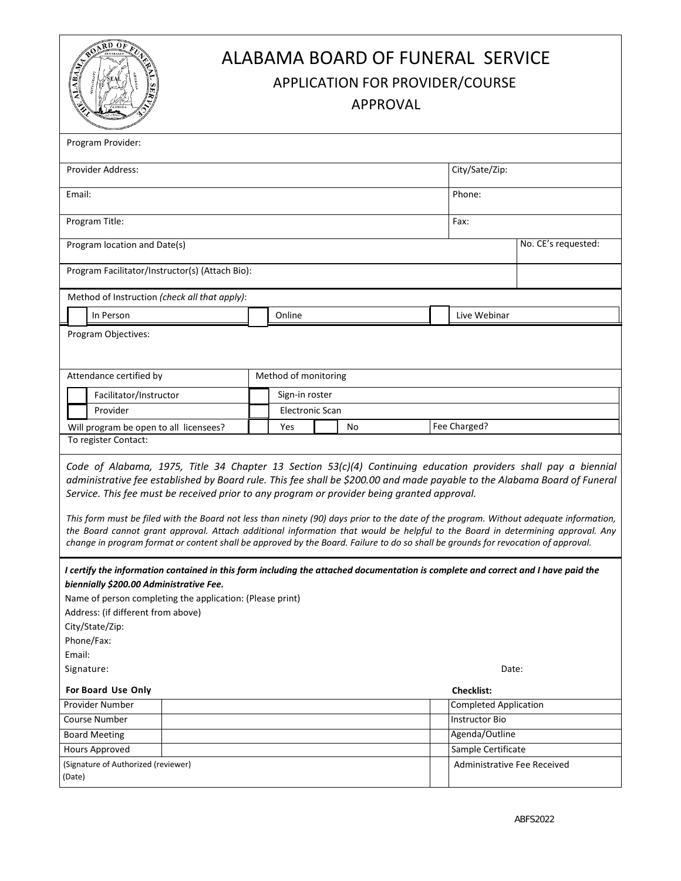| $R_{\rm D}$ $0_F$<br>ALABAMA BOARD OF FUNERAL SERVICE<br><b>ABA</b><br>APPLICATION FOR PROVIDER/COURSE<br><b>APPROVAL</b>                                                                                                                                                                                                                                                                                                                                                                                                                                                                                                                                                                                                                                   |                                                                     |                 |  |                              |                     |  |
|-------------------------------------------------------------------------------------------------------------------------------------------------------------------------------------------------------------------------------------------------------------------------------------------------------------------------------------------------------------------------------------------------------------------------------------------------------------------------------------------------------------------------------------------------------------------------------------------------------------------------------------------------------------------------------------------------------------------------------------------------------------|---------------------------------------------------------------------|-----------------|--|------------------------------|---------------------|--|
| Program Provider:                                                                                                                                                                                                                                                                                                                                                                                                                                                                                                                                                                                                                                                                                                                                           |                                                                     |                 |  |                              |                     |  |
| Provider Address:                                                                                                                                                                                                                                                                                                                                                                                                                                                                                                                                                                                                                                                                                                                                           |                                                                     |                 |  | City/Sate/Zip:               |                     |  |
| Email:                                                                                                                                                                                                                                                                                                                                                                                                                                                                                                                                                                                                                                                                                                                                                      |                                                                     |                 |  | Phone:                       |                     |  |
| Program Title:                                                                                                                                                                                                                                                                                                                                                                                                                                                                                                                                                                                                                                                                                                                                              |                                                                     |                 |  | Fax:                         |                     |  |
|                                                                                                                                                                                                                                                                                                                                                                                                                                                                                                                                                                                                                                                                                                                                                             |                                                                     |                 |  |                              |                     |  |
| Program location and Date(s)                                                                                                                                                                                                                                                                                                                                                                                                                                                                                                                                                                                                                                                                                                                                |                                                                     |                 |  |                              | No. CE's requested: |  |
| Program Facilitator/Instructor(s) (Attach Bio):                                                                                                                                                                                                                                                                                                                                                                                                                                                                                                                                                                                                                                                                                                             |                                                                     |                 |  |                              |                     |  |
| Method of Instruction (check all that apply):                                                                                                                                                                                                                                                                                                                                                                                                                                                                                                                                                                                                                                                                                                               |                                                                     |                 |  |                              |                     |  |
| In Person                                                                                                                                                                                                                                                                                                                                                                                                                                                                                                                                                                                                                                                                                                                                                   |                                                                     | Online          |  | Live Webinar                 |                     |  |
| Program Objectives:                                                                                                                                                                                                                                                                                                                                                                                                                                                                                                                                                                                                                                                                                                                                         |                                                                     |                 |  |                              |                     |  |
| Attendance certified by                                                                                                                                                                                                                                                                                                                                                                                                                                                                                                                                                                                                                                                                                                                                     | Method of monitoring                                                |                 |  |                              |                     |  |
| Facilitator/Instructor                                                                                                                                                                                                                                                                                                                                                                                                                                                                                                                                                                                                                                                                                                                                      |                                                                     | Sign-in roster  |  |                              |                     |  |
| Provider                                                                                                                                                                                                                                                                                                                                                                                                                                                                                                                                                                                                                                                                                                                                                    |                                                                     | Electronic Scan |  |                              |                     |  |
| To register Contact:                                                                                                                                                                                                                                                                                                                                                                                                                                                                                                                                                                                                                                                                                                                                        | Fee Charged?<br>Will program be open to all licensees?<br>Yes<br>No |                 |  |                              |                     |  |
| Code of Alabama, 1975, Title 34 Chapter 13 Section 53(c)(4) Continuing education providers shall pay a biennial<br>administrative fee established by Board rule. This fee shall be \$200.00 and made payable to the Alabama Board of Funeral<br>Service. This fee must be received prior to any program or provider being granted approval.<br>This form must be filed with the Board not less than ninety (90) days prior to the date of the program. Without adequate information,<br>the Board cannot grant approval. Attach additional information that would be helpful to the Board in determining approval. Any<br>change in program format or content shall be approved by the Board. Failure to do so shall be grounds for revocation of approval. |                                                                     |                 |  |                              |                     |  |
| I certify the information contained in this form including the attached documentation is complete and correct and I have paid the<br>biennially \$200.00 Administrative Fee.<br>Name of person completing the application: (Please print)<br>Address: (if different from above)<br>City/State/Zip:<br>Phone/Fax:<br>Email:                                                                                                                                                                                                                                                                                                                                                                                                                                  |                                                                     |                 |  |                              |                     |  |
| Signature:<br>Date:<br><b>Checklist:</b>                                                                                                                                                                                                                                                                                                                                                                                                                                                                                                                                                                                                                                                                                                                    |                                                                     |                 |  |                              |                     |  |
| For Board Use Only<br>Provider Number                                                                                                                                                                                                                                                                                                                                                                                                                                                                                                                                                                                                                                                                                                                       |                                                                     |                 |  | <b>Completed Application</b> |                     |  |
| Course Number                                                                                                                                                                                                                                                                                                                                                                                                                                                                                                                                                                                                                                                                                                                                               |                                                                     |                 |  | <b>Instructor Bio</b>        |                     |  |
| <b>Board Meeting</b>                                                                                                                                                                                                                                                                                                                                                                                                                                                                                                                                                                                                                                                                                                                                        |                                                                     |                 |  | Agenda/Outline               |                     |  |
| Hours Approved                                                                                                                                                                                                                                                                                                                                                                                                                                                                                                                                                                                                                                                                                                                                              |                                                                     |                 |  | Sample Certificate           |                     |  |
| (Signature of Authorized (reviewer)<br>(Date)                                                                                                                                                                                                                                                                                                                                                                                                                                                                                                                                                                                                                                                                                                               |                                                                     |                 |  | Administrative Fee Received  |                     |  |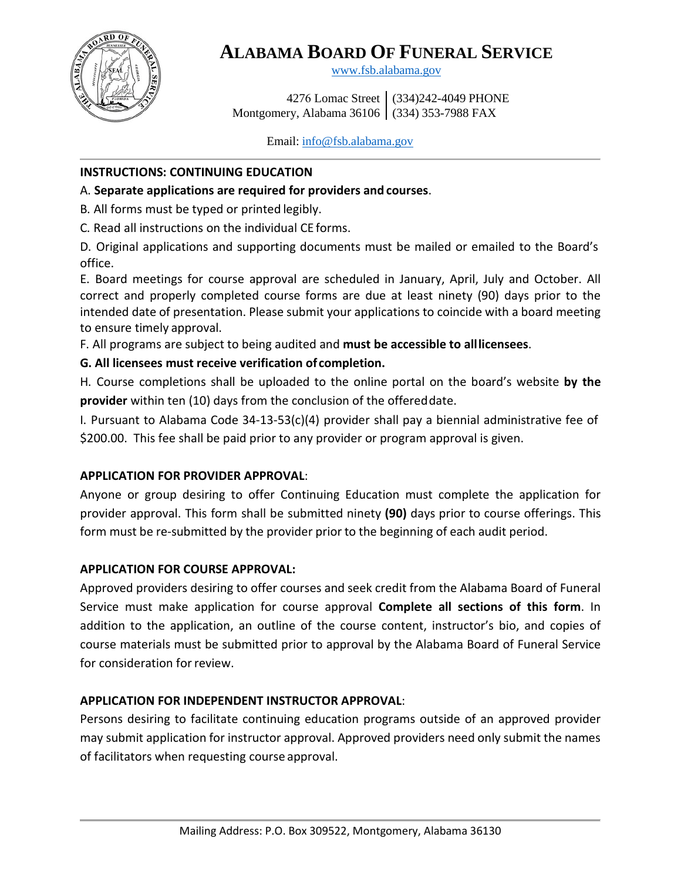

# **ALABAMA BOARD OF FUNERAL SERVICE**

[www.fsb.alabama.gov](http://www.fsb.alabama.gov/)

 4276 Lomac Street (334)242-4049 PHONE Montgomery, Alabama 36106 (334) 353-7988 FAX

Email: [info@fsb.alabama.gov](mailto:info@fsb.alabama.gov)

### **INSTRUCTIONS: CONTINUING EDUCATION**

## A. **Separate applications are required for providers and courses**.

B. All forms must be typed or printed legibly.

C. Read all instructions on the individual CE forms.

D. Original applications and supporting documents must be mailed or emailed to the Board's office.

E. Board meetings for course approval are scheduled in January, April, July and October. All correct and properly completed course forms are due at least ninety (90) days prior to the intended date of presentation. Please submit your applications to coincide with a board meeting to ensure timely approval.

F. All programs are subject to being audited and **must be accessible to alllicensees**.

# **G. All licensees must receive verification of completion.**

H. Course completions shall be uploaded to the online portal on the board's website **by the provider** within ten (10) days from the conclusion of the offereddate.

I. Pursuant to Alabama Code 34-13-53(c)(4) provider shall pay a biennial administrative fee of \$200.00. This fee shall be paid prior to any provider or program approval is given.

### **APPLICATION FOR PROVIDER APPROVAL**:

Anyone or group desiring to offer Continuing Education must complete the application for provider approval. This form shall be submitted ninety **(90)** days prior to course offerings. This form must be re-submitted by the provider prior to the beginning of each audit period.

# **APPLICATION FOR COURSE APPROVAL:**

Approved providers desiring to offer courses and seek credit from the Alabama Board of Funeral Service must make application for course approval **Complete all sections of this form**. In addition to the application, an outline of the course content, instructor's bio, and copies of course materials must be submitted prior to approval by the Alabama Board of Funeral Service for consideration for review.

# **APPLICATION FOR INDEPENDENT INSTRUCTOR APPROVAL**:

Persons desiring to facilitate continuing education programs outside of an approved provider may submit application for instructor approval. Approved providers need only submit the names of facilitators when requesting course approval.